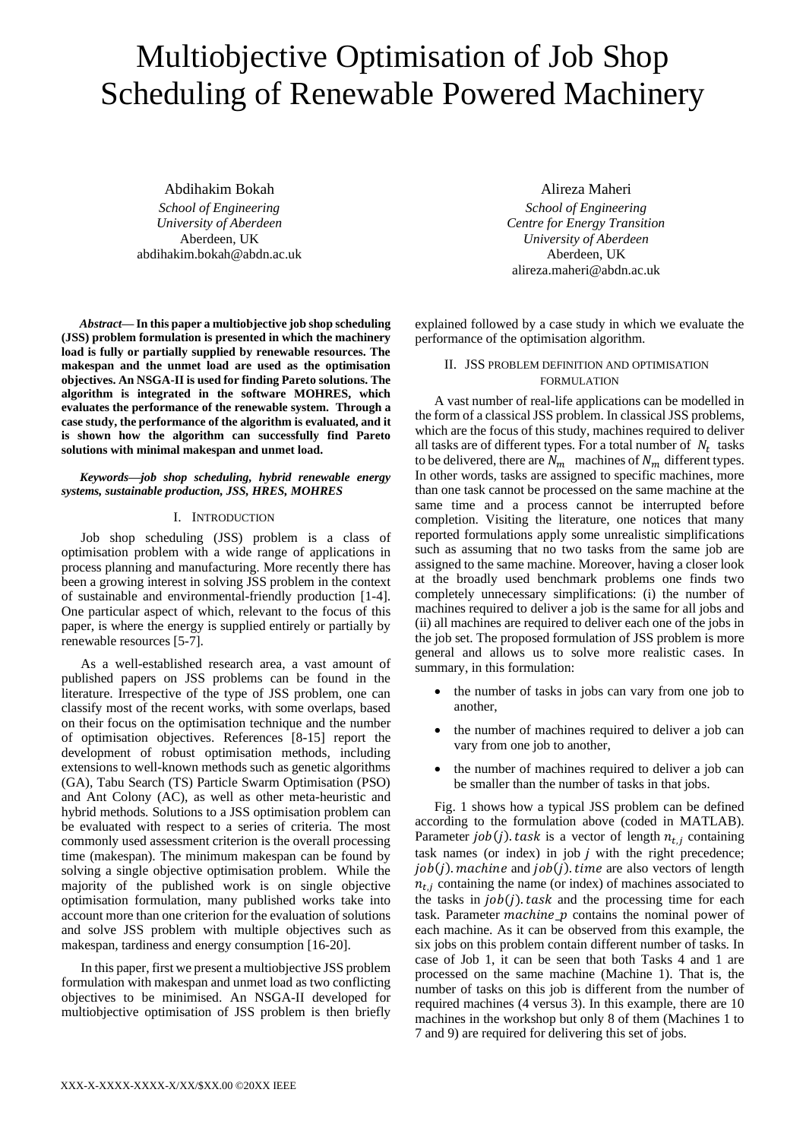# Multiobjective Optimisation of Job Shop Scheduling of Renewable Powered Machinery

Abdihakim Bokah

*School of Engineering University of Aberdeen* Aberdeen, UK abdihakim.bokah@abdn.ac.uk

*Abstract***— In this paper a multiobjective job shop scheduling (JSS) problem formulation is presented in which the machinery load is fully or partially supplied by renewable resources. The makespan and the unmet load are used as the optimisation objectives. An NSGA-II is used for finding Pareto solutions. The algorithm is integrated in the software MOHRES, which evaluates the performance of the renewable system. Through a case study, the performance of the algorithm is evaluated, and it is shown how the algorithm can successfully find Pareto solutions with minimal makespan and unmet load.** 

## *Keywords—job shop scheduling, hybrid renewable energy systems, sustainable production, JSS, HRES, MOHRES*

# I. INTRODUCTION

Job shop scheduling (JSS) problem is a class of optimisation problem with a wide range of applications in process planning and manufacturing. More recently there has been a growing interest in solving JSS problem in the context of sustainable and environmental-friendly production [1-4]. One particular aspect of which, relevant to the focus of this paper, is where the energy is supplied entirely or partially by renewable resources [5-7].

As a well-established research area, a vast amount of published papers on JSS problems can be found in the literature. Irrespective of the type of JSS problem, one can classify most of the recent works, with some overlaps, based on their focus on the optimisation technique and the number of optimisation objectives. References [8-15] report the development of robust optimisation methods, including extensions to well-known methods such as genetic algorithms (GA), Tabu Search (TS) Particle Swarm Optimisation (PSO) and Ant Colony (AC), as well as other meta-heuristic and hybrid methods. Solutions to a JSS optimisation problem can be evaluated with respect to a series of criteria. The most commonly used assessment criterion is the overall processing time (makespan). The minimum makespan can be found by solving a single objective optimisation problem. While the majority of the published work is on single objective optimisation formulation, many published works take into account more than one criterion for the evaluation of solutions and solve JSS problem with multiple objectives such as makespan, tardiness and energy consumption [16-20].

In this paper, first we present a multiobjective JSS problem formulation with makespan and unmet load as two conflicting objectives to be minimised. An NSGA-II developed for multiobjective optimisation of JSS problem is then briefly

Alireza Maheri *School of Engineering Centre for Energy Transition University of Aberdeen* Aberdeen, UK alireza.maheri@abdn.ac.uk

explained followed by a case study in which we evaluate the performance of the optimisation algorithm.

# II. JSS PROBLEM DEFINITION AND OPTIMISATION FORMULATION

A vast number of real-life applications can be modelled in the form of a classical JSS problem. In classical JSS problems, which are the focus of this study, machines required to deliver all tasks are of different types. For a total number of  $N_t$  tasks to be delivered, there are  $N_m$  machines of  $N_m$  different types. In other words, tasks are assigned to specific machines, more than one task cannot be processed on the same machine at the same time and a process cannot be interrupted before completion. Visiting the literature, one notices that many reported formulations apply some unrealistic simplifications such as assuming that no two tasks from the same job are assigned to the same machine. Moreover, having a closer look at the broadly used benchmark problems one finds two completely unnecessary simplifications: (i) the number of machines required to deliver a job is the same for all jobs and (ii) all machines are required to deliver each one of the jobs in the job set. The proposed formulation of JSS problem is more general and allows us to solve more realistic cases. In summary, in this formulation:

- the number of tasks in jobs can vary from one job to another,
- the number of machines required to deliver a job can vary from one job to another,
- the number of machines required to deliver a job can be smaller than the number of tasks in that jobs.

Fig. 1 shows how a typical JSS problem can be defined according to the formulation above (coded in MATLAB). Parameter  $job(j)$  task is a vector of length  $n_{t,i}$  containing task names (or index) in job  $j$  with the right precedence;  $job(j)$ . machine and  $job(j)$ . time are also vectors of length  $n_{t,i}$  containing the name (or index) of machines associated to the tasks in  $job(i)$  task and the processing time for each task. Parameter *machine*  $p$  contains the nominal power of each machine. As it can be observed from this example, the six jobs on this problem contain different number of tasks. In case of Job 1, it can be seen that both Tasks 4 and 1 are processed on the same machine (Machine 1). That is, the number of tasks on this job is different from the number of required machines (4 versus 3). In this example, there are 10 machines in the workshop but only 8 of them (Machines 1 to 7 and 9) are required for delivering this set of jobs.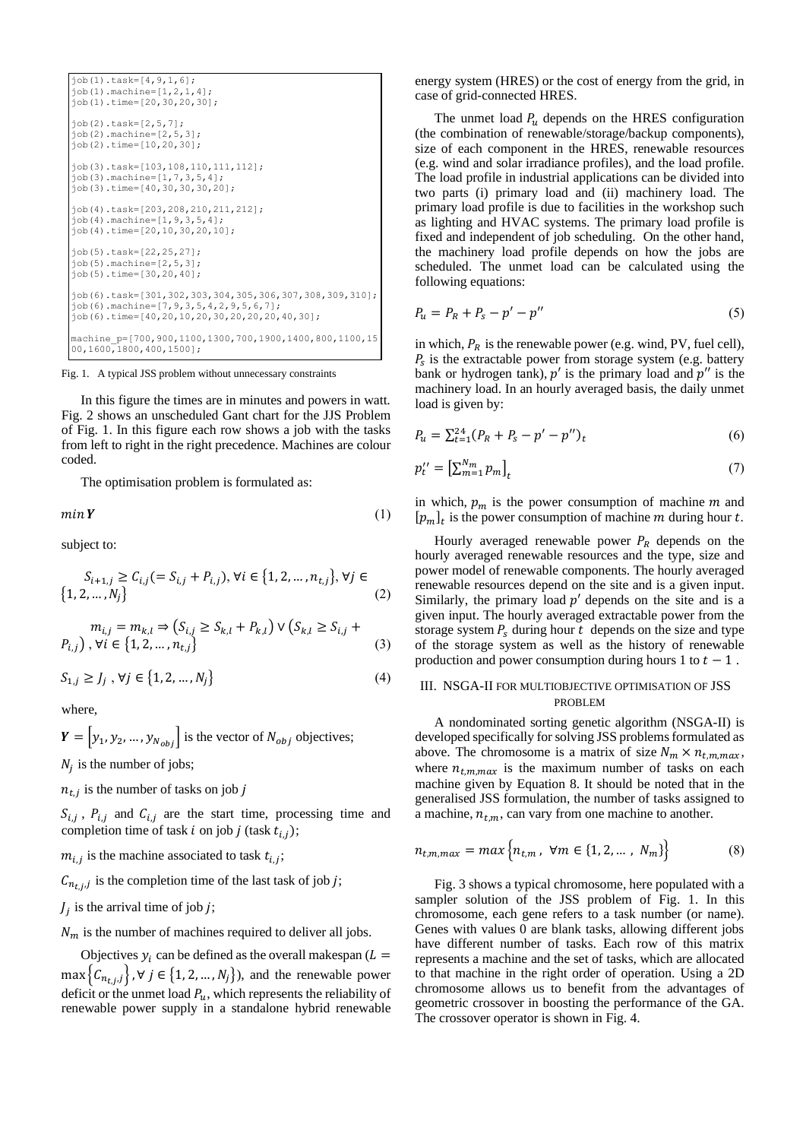

Fig. 1. A typical JSS problem without unnecessary constraints

In this figure the times are in minutes and powers in watt. Fig. 2 shows an unscheduled Gant chart for the JJS Problem of Fig. 1. In this figure each row shows a job with the tasks from left to right in the right precedence. Machines are colour coded.

The optimisation problem is formulated as:

 $min Y$  (1)

subject to:

$$
S_{i+1,j} \ge C_{i,j} (= S_{i,j} + P_{i,j}), \forall i \in \{1, 2, ..., n_{t,j}\}, \forall j \in \{1, 2, ..., N_j\}
$$
 (2)

$$
m_{i,j} = m_{k,l} \Rightarrow (S_{i,j} \ge S_{k,l} + P_{k,l}) \vee (S_{k,l} \ge S_{i,j} + P_{i,j}), \forall i \in \{1, 2, ..., n_{t,j}\}
$$
\n(3)

$$
S_{1,j} \ge J_j, \forall j \in \{1, 2, ..., N_j\}
$$
 (4)

where,

 $Y = |y_1, y_2, ..., y_{N_{obj}}|$  is the vector of  $N_{obj}$  objectives;  $N_j$  is the number of jobs;

 $n_{t,j}$  is the number of tasks on job j

 $S_{i,j}$ ,  $P_{i,j}$  and  $C_{i,j}$  are the start time, processing time and completion time of task *i* on job *j* (task  $t_{i,j}$ );

 $m_{i,j}$  is the machine associated to task  $t_{i,j}$ ;

 $C_{n_{t,j},j}$  is the completion time of the last task of job j;

 $J_j$  is the arrival time of job j;

 $N_m$  is the number of machines required to deliver all jobs.

Objectives  $y_i$  can be defined as the overall makespan ( $L =$  $\max\left\{C_{n_{t,j},j}\right\}, \forall j \in \{1,2,...,N_j\}$ , and the renewable power deficit or the unmet load  $P_u$ , which represents the reliability of renewable power supply in a standalone hybrid renewable

energy system (HRES) or the cost of energy from the grid, in case of grid-connected HRES.

The unmet load  $P_u$  depends on the HRES configuration (the combination of renewable/storage/backup components), size of each component in the HRES, renewable resources (e.g. wind and solar irradiance profiles), and the load profile. The load profile in industrial applications can be divided into two parts (i) primary load and (ii) machinery load. The primary load profile is due to facilities in the workshop such as lighting and HVAC systems. The primary load profile is fixed and independent of job scheduling. On the other hand, the machinery load profile depends on how the jobs are scheduled. The unmet load can be calculated using the following equations:

$$
P_u = P_R + P_s - p' - p''
$$
\n(5)

in which,  $P_R$  is the renewable power (e.g. wind, PV, fuel cell),  $P_s$  is the extractable power from storage system (e.g. battery bank or hydrogen tank),  $p'$  is the primary load and  $p''$  is the machinery load. In an hourly averaged basis, the daily unmet load is given by:

$$
P_u = \sum_{t=1}^{24} (P_R + P_s - p' - p'')_t
$$
\n<sup>(6)</sup>

$$
p_t'' = \left[\sum_{m=1}^{N_m} p_m\right]_t \tag{7}
$$

in which,  $p_m$  is the power consumption of machine m and  $[p_m]_t$  is the power consumption of machine *m* during hour *t*.

Hourly averaged renewable power  $P_R$  depends on the hourly averaged renewable resources and the type, size and power model of renewable components. The hourly averaged renewable resources depend on the site and is a given input. Similarly, the primary load  $p'$  depends on the site and is a given input. The hourly averaged extractable power from the storage system  $P_s$  during hour t depends on the size and type of the storage system as well as the history of renewable production and power consumption during hours 1 to  $t - 1$ .

## III. NSGA-II FOR MULTIOBJECTIVE OPTIMISATION OF JSS PROBLEM

A nondominated sorting genetic algorithm (NSGA-II) is developed specifically for solving JSS problems formulated as above. The chromosome is a matrix of size  $N_m \times n_{t,m,max}$ , where  $n_{t,m,max}$  is the maximum number of tasks on each machine given by Equation 8. It should be noted that in the generalised JSS formulation, the number of tasks assigned to a machine,  $n_{t,m}$ , can vary from one machine to another.

$$
n_{t,m,max} = max \left\{ n_{t,m}, \ \forall m \in \{1, 2, \dots, N_m\} \right\}
$$
 (8)

Fig. 3 shows a typical chromosome, here populated with a sampler solution of the JSS problem of Fig. 1. In this chromosome, each gene refers to a task number (or name). Genes with values 0 are blank tasks, allowing different jobs have different number of tasks. Each row of this matrix represents a machine and the set of tasks, which are allocated to that machine in the right order of operation. Using a 2D chromosome allows us to benefit from the advantages of geometric crossover in boosting the performance of the GA. The crossover operator is shown in Fig. 4.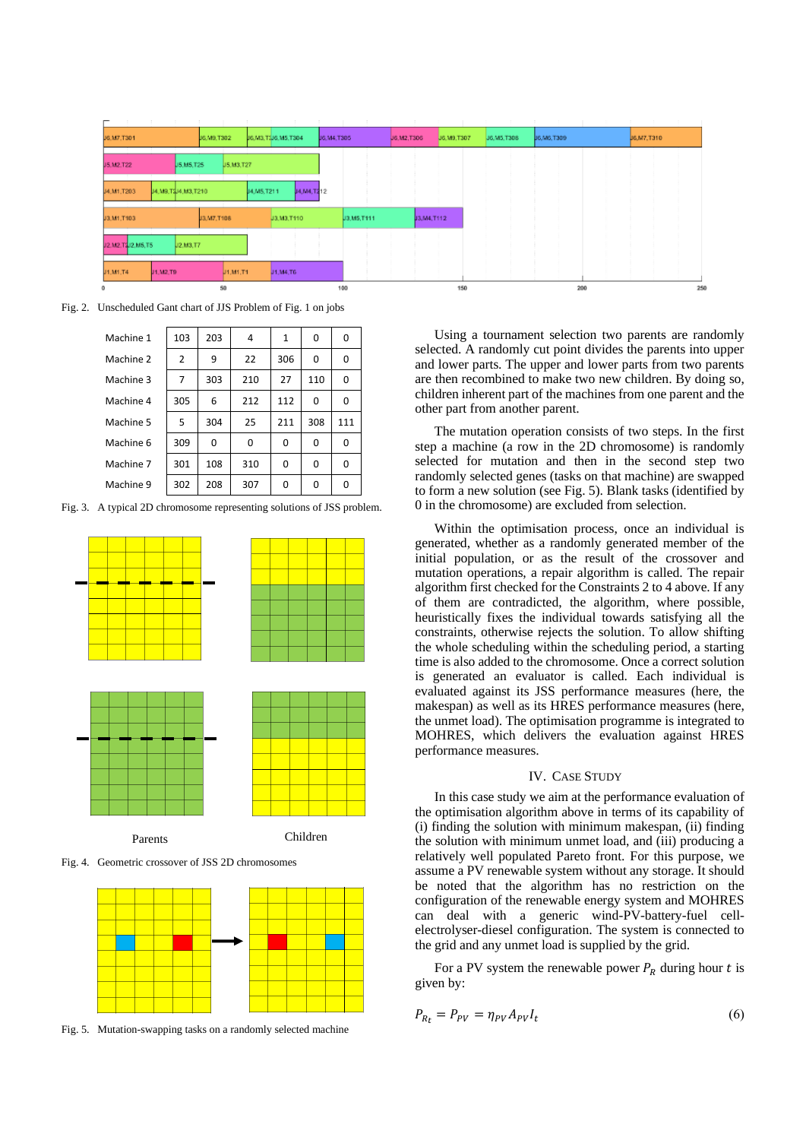| J6.M7.T301       |                    | J6.M9.T302   |            | J6.M3.T3J6.M5.T304 |            |            | J6.M4.T305 |              | J6.M2.T306 |            | J6.M9.T307 |  | J6.M5.T306 | J6, M6, T309 |     |  | J6,M7,T310 |
|------------------|--------------------|--------------|------------|--------------------|------------|------------|------------|--------------|------------|------------|------------|--|------------|--------------|-----|--|------------|
| J5.M2.T22        | J.5, M.5, T.25     |              | U5.M3.T27  |                    |            |            |            |              |            |            |            |  |            |              |     |  |            |
|                  |                    |              |            |                    |            |            |            |              |            |            |            |  |            |              |     |  |            |
| J4.M1.T203       | J4.M9.T2J4.M3.T210 |              |            | J4, M5, T211       |            | J4,M4,T212 |            |              |            |            |            |  |            |              |     |  |            |
| J3, M1, T103     |                    | J3, M7, T108 |            |                    | J3.M3.T110 |            |            | J3, M5, T111 |            | J3,M4,T112 |            |  |            |              |     |  |            |
| J2.M2.T2J2.M5.T5 | U2.M3.T7           |              |            |                    |            |            |            |              |            |            |            |  |            |              |     |  |            |
| J1, M1, T4       | J1, M2, T9         |              | U1, M1, T1 |                    | J1, M4, T6 |            |            |              |            |            |            |  |            |              |     |  |            |
| ٥                |                    | 50           |            |                    |            |            |            | 100          |            |            | 150        |  |            |              | 200 |  |            |

Fig. 2. Unscheduled Gant chart of JJS Problem of Fig. 1 on jobs

| Machine 1 | 103            | 203      | 4   | 1        | 0   | 0   |
|-----------|----------------|----------|-----|----------|-----|-----|
| Machine 2 | $\overline{2}$ | 9        | 22  | 306      | O   | 0   |
| Machine 3 | 7              | 303      | 210 | 27       | 110 | 0   |
| Machine 4 | 305            | 6        | 212 | 112      | O   | 0   |
| Machine 5 | 5              | 304      | 25  | 211      | 308 | 111 |
| Machine 6 | 309            | $\Omega$ | 0   | 0        | 0   | 0   |
| Machine 7 | 301            | 108      | 310 | $\Omega$ | O   | 0   |
| Machine 9 | 302            | 208      | 307 |          |     | ი   |

Fig. 3. A typical 2D chromosome representing solutions of JSS problem.



Fig. 4. Geometric crossover of JSS 2D chromosomes



Fig. 5. Mutation-swapping tasks on a randomly selected machine

Using a tournament selection two parents are randomly selected. A randomly cut point divides the parents into upper and lower parts. The upper and lower parts from two parents are then recombined to make two new children. By doing so, children inherent part of the machines from one parent and the other part from another parent.

The mutation operation consists of two steps. In the first step a machine (a row in the 2D chromosome) is randomly selected for mutation and then in the second step two randomly selected genes (tasks on that machine) are swapped to form a new solution (see Fig. 5). Blank tasks (identified by 0 in the chromosome) are excluded from selection.

Within the optimisation process, once an individual is generated, whether as a randomly generated member of the initial population, or as the result of the crossover and mutation operations, a repair algorithm is called. The repair algorithm first checked for the Constraints 2 to 4 above. If any of them are contradicted, the algorithm, where possible, heuristically fixes the individual towards satisfying all the constraints, otherwise rejects the solution. To allow shifting the whole scheduling within the scheduling period, a starting time is also added to the chromosome. Once a correct solution is generated an evaluator is called. Each individual is evaluated against its JSS performance measures (here, the makespan) as well as its HRES performance measures (here, the unmet load). The optimisation programme is integrated to MOHRES, which delivers the evaluation against HRES performance measures.

#### IV. CASE STUDY

In this case study we aim at the performance evaluation of the optimisation algorithm above in terms of its capability of (i) finding the solution with minimum makespan, (ii) finding the solution with minimum unmet load, and (iii) producing a relatively well populated Pareto front. For this purpose, we assume a PV renewable system without any storage. It should be noted that the algorithm has no restriction on the configuration of the renewable energy system and MOHRES can deal with a generic wind-PV-battery-fuel cellelectrolyser-diesel configuration. The system is connected to the grid and any unmet load is supplied by the grid.

For a PV system the renewable power  $P_R$  during hour t is given by:

$$
P_{R_t} = P_{PV} = \eta_{PV} A_{PV} I_t \tag{6}
$$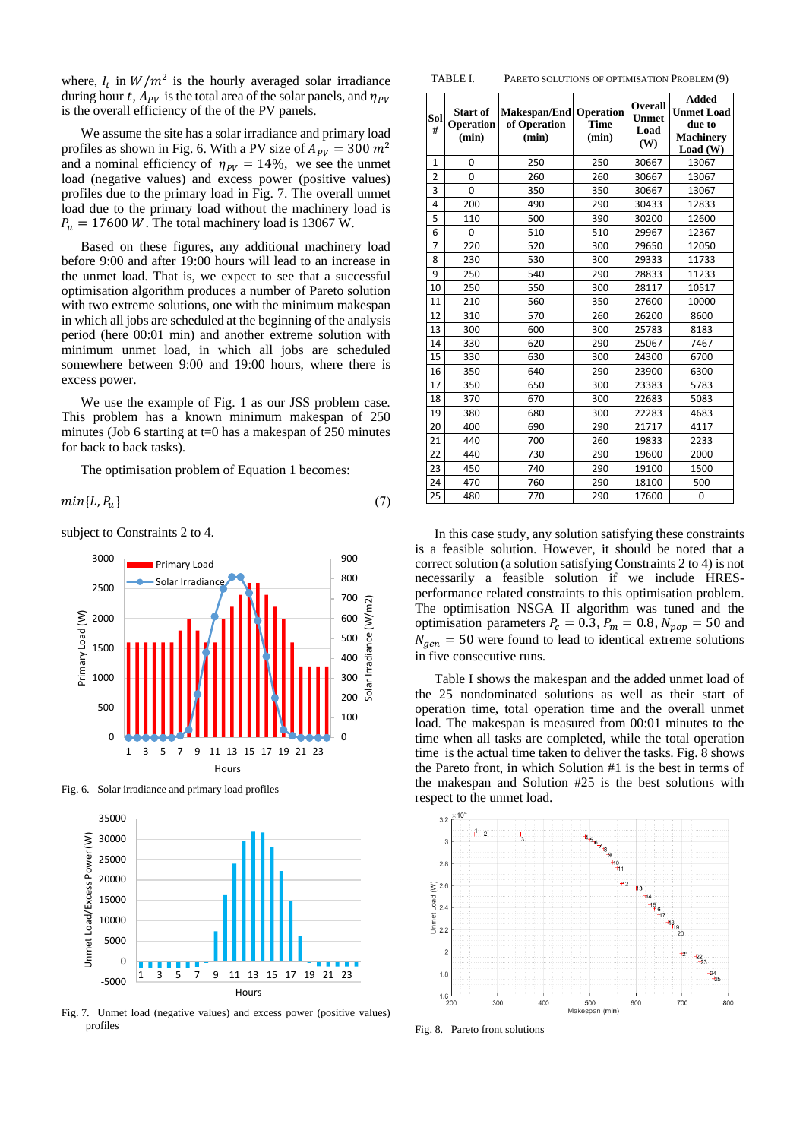where,  $I_t$  in  $W/m^2$  is the hourly averaged solar irradiance during hour t,  $A_{PV}$  is the total area of the solar panels, and  $\eta_{PV}$ is the overall efficiency of the of the PV panels.

We assume the site has a solar irradiance and primary load profiles as shown in Fig. 6. With a PV size of  $A_{PV} = 300 \ m^2$ and a nominal efficiency of  $\eta_{PV} = 14\%$ , we see the unmet load (negative values) and excess power (positive values) profiles due to the primary load in Fig. 7. The overall unmet load due to the primary load without the machinery load is  $P_u = 17600 \ W$ . The total machinery load is 13067 W.

Based on these figures, any additional machinery load before 9:00 and after 19:00 hours will lead to an increase in the unmet load. That is, we expect to see that a successful optimisation algorithm produces a number of Pareto solution with two extreme solutions, one with the minimum makespan in which all jobs are scheduled at the beginning of the analysis period (here 00:01 min) and another extreme solution with minimum unmet load, in which all jobs are scheduled somewhere between 9:00 and 19:00 hours, where there is excess power.

We use the example of Fig. 1 as our JSS problem case. This problem has a known minimum makespan of 250 minutes (Job 6 starting at  $t=0$  has a makespan of 250 minutes for back to back tasks).

The optimisation problem of Equation 1 becomes:

 $min{L, P_u}$  (7)

subject to Constraints 2 to 4.



Fig. 6. Solar irradiance and primary load profiles



Fig. 7. Unmet load (negative values) and excess power (positive values) profiles

| Sol<br>#       | Start of<br>Operation<br>(min) | Makespan/End<br>of Operation<br>(min) | Operation<br><b>Time</b><br>(min) | Overall<br><b>Unmet</b><br>Load<br>(W) | <b>Added</b><br><b>Unmet Load</b><br>due to<br><b>Machinery</b><br>Load (W) |
|----------------|--------------------------------|---------------------------------------|-----------------------------------|----------------------------------------|-----------------------------------------------------------------------------|
| $\mathbf{1}$   | 0                              | 250                                   | 250                               | 30667                                  | 13067                                                                       |
| $\overline{2}$ | 0                              | 260                                   | 260                               | 30667                                  | 13067                                                                       |
| 3              | $\Omega$                       | 350                                   | 350                               | 30667                                  | 13067                                                                       |
| 4              | 200                            | 490                                   | 290                               | 30433                                  | 12833                                                                       |
| 5              | 110                            | 500                                   | 390                               | 30200                                  | 12600                                                                       |
| 6              | 0                              | 510                                   | 510                               | 29967                                  | 12367                                                                       |
| $\overline{7}$ | 220                            | 520                                   | 300                               | 29650                                  | 12050                                                                       |
| 8              | 230                            | 530                                   | 300                               | 29333                                  | 11733                                                                       |
| 9              | 250                            | 540                                   | 290                               | 28833                                  | 11233                                                                       |
| 10             | 250                            | 550                                   | 300                               | 28117                                  | 10517                                                                       |
| 11             | 210                            | 560                                   | 350                               | 27600                                  | 10000                                                                       |
| 12             | 310                            | 570                                   | 260                               | 26200                                  | 8600                                                                        |
| 13             | 300                            | 600                                   | 300                               | 25783                                  | 8183                                                                        |
| 14             | 330                            | 620                                   | 290                               | 25067                                  | 7467                                                                        |
| 15             | 330                            | 630                                   | 300                               | 24300                                  | 6700                                                                        |
| 16             | 350                            | 640                                   | 290                               | 23900                                  | 6300                                                                        |
| 17             | 350                            | 650                                   | 300                               | 23383                                  | 5783                                                                        |
| 18             | 370                            | 670                                   | 300                               | 22683                                  | 5083                                                                        |
| 19             | 380                            | 680                                   | 300                               | 22283                                  | 4683                                                                        |
| 20             | 400                            | 690                                   | 290                               | 21717                                  | 4117                                                                        |
| 21             | 440                            | 700                                   | 260                               | 19833                                  | 2233                                                                        |
| 22             | 440                            | 730                                   | 290                               | 19600                                  | 2000                                                                        |
| 23             | 450                            | 740                                   | 290                               | 19100                                  | 1500                                                                        |
| 24             | 470                            | 760                                   | 290                               | 18100                                  | 500                                                                         |
| 25             | 480                            | 770                                   | 290                               | 17600                                  | 0                                                                           |

TABLE I. PARETO SOLUTIONS OF OPTIMISATION PROBLEM (9)

In this case study, any solution satisfying these constraints is a feasible solution. However, it should be noted that a correct solution (a solution satisfying Constraints 2 to 4) is not necessarily a feasible solution if we include HRESperformance related constraints to this optimisation problem. The optimisation NSGA II algorithm was tuned and the optimisation parameters  $P_c = 0.3$ ,  $P_m = 0.8$ ,  $N_{pop} = 50$  and  $N_{gen} = 50$  were found to lead to identical extreme solutions in five consecutive runs.

Table I shows the makespan and the added unmet load of the 25 nondominated solutions as well as their start of operation time, total operation time and the overall unmet load. The makespan is measured from 00:01 minutes to the time when all tasks are completed, while the total operation time is the actual time taken to deliver the tasks. Fig. 8 shows the Pareto front, in which Solution #1 is the best in terms of the makespan and Solution #25 is the best solutions with respect to the unmet load.



Fig. 8. Pareto front solutions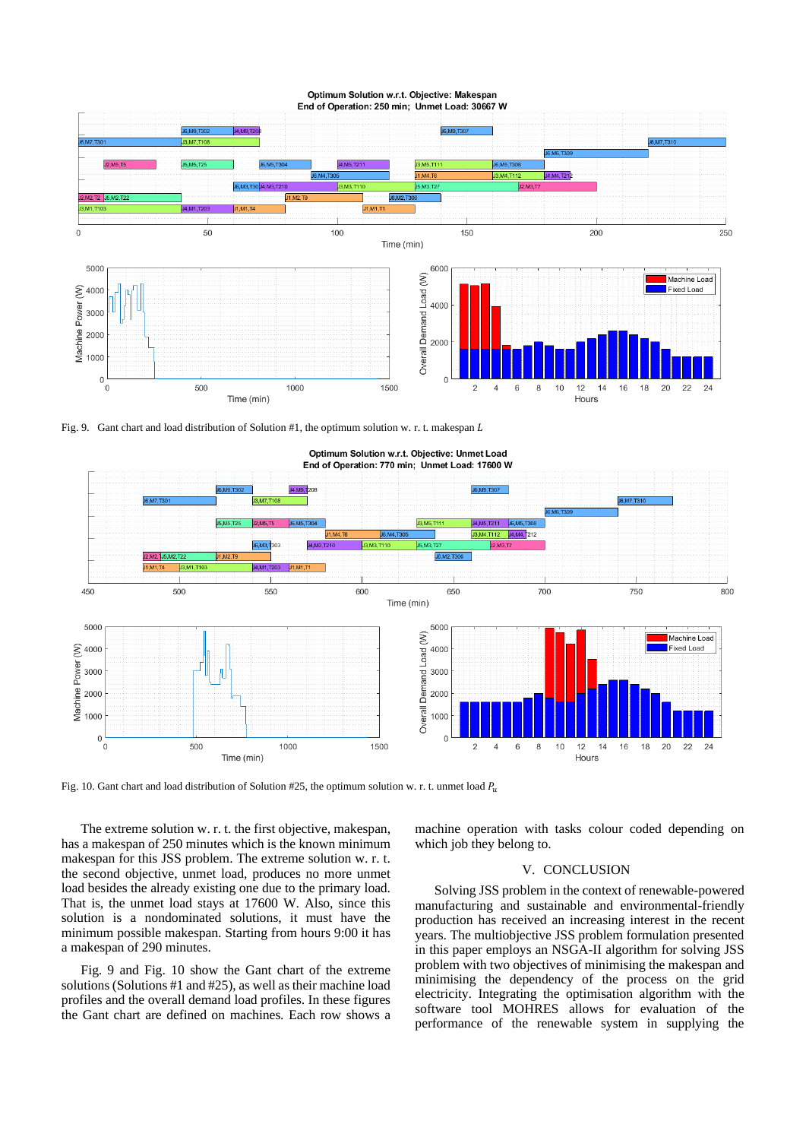

#### Optimum Solution w.r.t. Objective: Makespan End of Operation: 250 min; Unmet Load: 30667 W

Fig. 9. Gant chart and load distribution of Solution #1, the optimum solution w. r. t. makespan  $L$ 



Optimum Solution w.r.t. Objective: Unmet Load End of Operation: 770 min: Unmet Load: 17600 W

Fig. 10. Gant chart and load distribution of Solution #25, the optimum solution w. r. t. unmet load  $P_u$ 

The extreme solution w. r. t. the first objective, makespan, has a makespan of 250 minutes which is the known minimum makespan for this JSS problem. The extreme solution w. r. t. the second objective, unmet load, produces no more unmet load besides the already existing one due to the primary load. That is, the unmet load stays at 17600 W. Also, since this solution is a nondominated solutions, it must have the minimum possible makespan. Starting from hours 9:00 it has a makespan of 290 minutes.

Fig. 9 and Fig. 10 show the Gant chart of the extreme solutions (Solutions #1 and #25), as well as their machine load profiles and the overall demand load profiles. In these figures the Gant chart are defined on machines. Each row shows a machine operation with tasks colour coded depending on which job they belong to.

### V. CONCLUSION

Solving JSS problem in the context of renewable-powered manufacturing and sustainable and environmental-friendly production has received an increasing interest in the recent years. The multiobjective JSS problem formulation presented in this paper employs an NSGA-II algorithm for solving JSS problem with two objectives of minimising the makespan and minimising the dependency of the process on the grid electricity. Integrating the optimisation algorithm with the software tool MOHRES allows for evaluation of the performance of the renewable system in supplying the